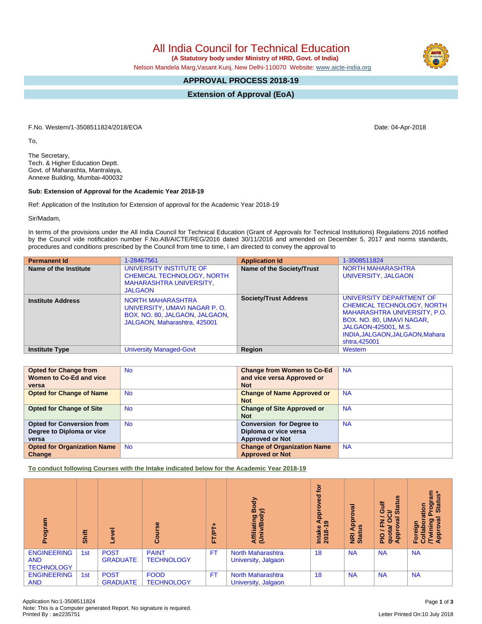All India Council for Technical Education

 **(A Statutory body under Ministry of HRD, Govt. of India)**

Nelson Mandela Marg,Vasant Kunj, New Delhi-110070 Website: [www.aicte-india.org](http://www.aicte-india.org)

## **APPROVAL PROCESS 2018-19**

**Extension of Approval (EoA)**

F.No. Western/1-3508511824/2018/EOA Date: 04-Apr-2018

To,

The Secretary, Tech. & Higher Education Deptt. Govt. of Maharashta, Mantralaya, Annexe Building, Mumbai-400032

## **Sub: Extension of Approval for the Academic Year 2018-19**

Ref: Application of the Institution for Extension of approval for the Academic Year 2018-19

Sir/Madam,

In terms of the provisions under the All India Council for Technical Education (Grant of Approvals for Technical Institutions) Regulations 2016 notified by the Council vide notification number F.No.AB/AICTE/REG/2016 dated 30/11/2016 and amended on December 5, 2017 and norms standards, procedures and conditions prescribed by the Council from time to time, I am directed to convey the approval to

| <b>Permanent Id</b>      | 1-28467561                                                                                                                 | <b>Application Id</b>        | 1-3508511824                                                                                                                                                                                           |
|--------------------------|----------------------------------------------------------------------------------------------------------------------------|------------------------------|--------------------------------------------------------------------------------------------------------------------------------------------------------------------------------------------------------|
| Name of the Institute    | UNIVERSITY INSTITUTE OF<br><b>CHEMICAL TECHNOLOGY, NORTH</b><br><b>MAHARASHTRA UNIVERSITY.</b><br><b>JALGAON</b>           | Name of the Society/Trust    | <b>NORTH MAHARASHTRA</b><br>UNIVERSITY, JALGAON                                                                                                                                                        |
| <b>Institute Address</b> | <b>NORTH MAHARASHTRA</b><br>UNIVERSITY, UMAVI NAGAR P.O.<br>BOX. NO. 80, JALGAON, JALGAON,<br>JALGAON, Maharashtra, 425001 | <b>Society/Trust Address</b> | UNIVERSITY DEPARTMENT OF<br>CHEMICAL TECHNOLOGY, NORTH<br><b>MAHARASHTRA UNIVERSITY, P.O.</b><br>BOX. NO. 80, UMAVI NAGAR,<br>JALGAON-425001, M.S.<br>INDIA, JALGAON, JALGAON, Mahara<br>shtra, 425001 |
| <b>Institute Type</b>    | <b>University Managed-Govt</b>                                                                                             | Region                       | Western                                                                                                                                                                                                |

| <b>Opted for Change from</b>       | <b>No</b> | <b>Change from Women to Co-Ed</b>  | <b>NA</b> |
|------------------------------------|-----------|------------------------------------|-----------|
| Women to Co-Ed and vice            |           | and vice versa Approved or         |           |
| versa                              |           | <b>Not</b>                         |           |
| <b>Opted for Change of Name</b>    | <b>No</b> | <b>Change of Name Approved or</b>  | <b>NA</b> |
|                                    |           | <b>Not</b>                         |           |
| <b>Opted for Change of Site</b>    | <b>No</b> | <b>Change of Site Approved or</b>  | <b>NA</b> |
|                                    |           | <b>Not</b>                         |           |
| <b>Opted for Conversion from</b>   | <b>No</b> | <b>Conversion for Degree to</b>    | <b>NA</b> |
| Degree to Diploma or vice          |           | Diploma or vice versa              |           |
| versa                              |           | <b>Approved or Not</b>             |           |
| <b>Opted for Organization Name</b> | <b>No</b> | <b>Change of Organization Name</b> | <b>NA</b> |
| Change                             |           | <b>Approved or Not</b>             |           |

**To conduct following Courses with the Intake indicated below for the Academic Year 2018-19**

| ogram<br>č                                            | Shift | $\overline{\omega}$            | rse<br>ပ္ပြ                       | $+$<br>FT/PT | Body<br>$\widehat{\phantom{a}}$<br>Affiliating<br>(Univ/Body | <b>jo</b><br>꿈<br>۰<br>ā<br>4 o<br>Intake<br>2018-1 | ಕ<br>Appl<br><b>NRI Ap<br/>Status</b> | <b>Status</b><br><b>Gulf</b><br>ਨੋ<br>œ<br>$\circ$<br>준<br>quota/<br>Approv<br>$\frac{1}{2}$ | m<br>Status*<br><b>Progra</b><br>ation<br>᠊ᢛ<br>౽<br>ō<br>Foreign<br>Collab<br>Approv<br>Approv |
|-------------------------------------------------------|-------|--------------------------------|-----------------------------------|--------------|--------------------------------------------------------------|-----------------------------------------------------|---------------------------------------|----------------------------------------------------------------------------------------------|-------------------------------------------------------------------------------------------------|
| <b>ENGINEERING</b><br><b>AND</b><br><b>TECHNOLOGY</b> | 1st   | <b>POST</b><br><b>GRADUATE</b> | <b>PAINT</b><br><b>TECHNOLOGY</b> | <b>FT</b>    | <b>North Maharashtra</b><br>University, Jalgaon              | 18                                                  | <b>NA</b>                             | <b>NA</b>                                                                                    | <b>NA</b>                                                                                       |
| <b>ENGINEERING</b><br><b>AND</b>                      | 1st   | <b>POST</b><br><b>GRADUATE</b> | <b>FOOD</b><br><b>TECHNOLOGY</b>  | <b>FT</b>    | <b>North Maharashtra</b><br>University, Jalgaon              | 18                                                  | <b>NA</b>                             | <b>NA</b>                                                                                    | <b>NA</b>                                                                                       |

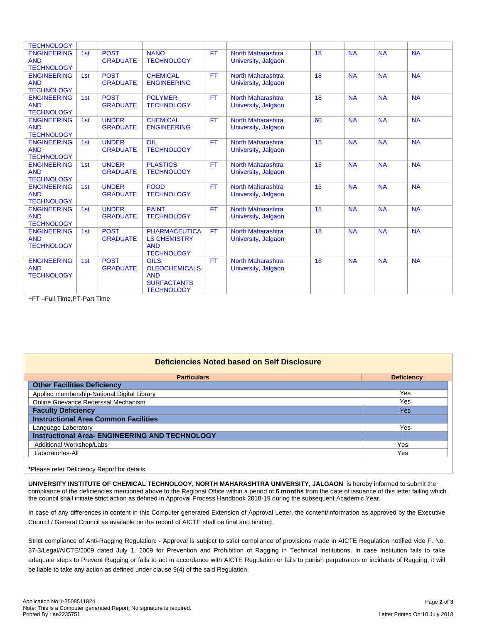| <b>TECHNOLOGY</b>                |     |                                 |                                       |           |                                                 |    |           |           |           |
|----------------------------------|-----|---------------------------------|---------------------------------------|-----------|-------------------------------------------------|----|-----------|-----------|-----------|
| <b>ENGINEERING</b>               | 1st | <b>POST</b>                     | <b>NANO</b>                           | <b>FT</b> | <b>North Maharashtra</b>                        | 18 | <b>NA</b> | <b>NA</b> | <b>NA</b> |
| <b>AND</b>                       |     | <b>GRADUATE</b>                 | <b>TECHNOLOGY</b>                     |           | University, Jalgaon                             |    |           |           |           |
| <b>TECHNOLOGY</b>                |     |                                 |                                       |           |                                                 |    |           |           |           |
| <b>ENGINEERING</b><br><b>AND</b> | 1st | <b>POST</b><br><b>GRADUATE</b>  | <b>CHEMICAL</b><br><b>ENGINEERING</b> | <b>FT</b> | <b>North Maharashtra</b><br>University, Jalgaon | 18 | <b>NA</b> | <b>NA</b> | <b>NA</b> |
| <b>TECHNOLOGY</b>                |     |                                 |                                       |           |                                                 |    |           |           |           |
| <b>ENGINEERING</b>               | 1st | <b>POST</b>                     | <b>POLYMER</b>                        | <b>FT</b> | North Maharashtra                               | 18 | <b>NA</b> | <b>NA</b> | <b>NA</b> |
| <b>AND</b>                       |     | <b>GRADUATE</b>                 | <b>TECHNOLOGY</b>                     |           | University, Jalgaon                             |    |           |           |           |
| <b>TECHNOLOGY</b>                |     |                                 |                                       |           |                                                 |    |           |           |           |
| <b>ENGINEERING</b>               | 1st | <b>UNDER</b>                    | <b>CHEMICAL</b>                       | <b>FT</b> | <b>North Maharashtra</b>                        | 60 | <b>NA</b> | <b>NA</b> | <b>NA</b> |
| <b>AND</b>                       |     | <b>GRADUATE</b>                 | <b>ENGINEERING</b>                    |           | University, Jalgaon                             |    |           |           |           |
| <b>TECHNOLOGY</b>                |     |                                 |                                       |           | North Maharashtra                               | 15 |           |           |           |
| <b>ENGINEERING</b><br><b>AND</b> | 1st | <b>UNDER</b><br><b>GRADUATE</b> | OIL<br><b>TECHNOLOGY</b>              | <b>FT</b> | University, Jalgaon                             |    | <b>NA</b> | <b>NA</b> | <b>NA</b> |
| <b>TECHNOLOGY</b>                |     |                                 |                                       |           |                                                 |    |           |           |           |
| <b>ENGINEERING</b>               | 1st | <b>UNDER</b>                    | <b>PLASTICS</b>                       | <b>FT</b> | <b>North Maharashtra</b>                        | 15 | <b>NA</b> | <b>NA</b> | <b>NA</b> |
| <b>AND</b>                       |     | <b>GRADUATE</b>                 | <b>TECHNOLOGY</b>                     |           | University, Jalgaon                             |    |           |           |           |
| <b>TECHNOLOGY</b>                |     |                                 |                                       |           |                                                 |    |           |           |           |
| <b>ENGINEERING</b>               | 1st | <b>UNDER</b>                    | <b>FOOD</b>                           | <b>FT</b> | North Maharashtra                               | 15 | <b>NA</b> | <b>NA</b> | <b>NA</b> |
| <b>AND</b>                       |     | <b>GRADUATE</b>                 | <b>TECHNOLOGY</b>                     |           | University, Jalgaon                             |    |           |           |           |
| <b>TECHNOLOGY</b>                |     |                                 |                                       |           |                                                 |    |           |           |           |
| <b>ENGINEERING</b><br><b>AND</b> | 1st | <b>UNDER</b><br><b>GRADUATE</b> | <b>PAINT</b><br><b>TECHNOLOGY</b>     | <b>FT</b> | <b>North Maharashtra</b><br>University, Jalgaon | 15 | <b>NA</b> | <b>NA</b> | <b>NA</b> |
| <b>TECHNOLOGY</b>                |     |                                 |                                       |           |                                                 |    |           |           |           |
| <b>ENGINEERING</b>               | 1st | <b>POST</b>                     | <b>PHARMACEUTICA</b>                  | <b>FT</b> | <b>North Maharashtra</b>                        | 18 | <b>NA</b> | <b>NA</b> | <b>NA</b> |
| <b>AND</b>                       |     | <b>GRADUATE</b>                 | <b>LS CHEMISTRY</b>                   |           | University, Jalgaon                             |    |           |           |           |
| <b>TECHNOLOGY</b>                |     |                                 | <b>AND</b>                            |           |                                                 |    |           |           |           |
|                                  |     |                                 | <b>TECHNOLOGY</b>                     |           |                                                 |    |           |           |           |
| <b>ENGINEERING</b>               | 1st | <b>POST</b>                     | OILS.                                 | <b>FT</b> | North Maharashtra                               | 18 | <b>NA</b> | <b>NA</b> | <b>NA</b> |
| <b>AND</b>                       |     | <b>GRADUATE</b>                 | <b>OLEOCHEMICALS</b>                  |           | University, Jalgaon                             |    |           |           |           |
| <b>TECHNOLOGY</b>                |     |                                 | <b>AND</b>                            |           |                                                 |    |           |           |           |
|                                  |     |                                 | <b>SURFACTANTS</b>                    |           |                                                 |    |           |           |           |
|                                  |     |                                 | <b>TECHNOLOGY</b>                     |           |                                                 |    |           |           |           |

+FT –Full Time,PT-Part Time

## **Deficiencies Noted based on Self Disclosure Particulars Deficiency Other Facilities Deficiency** Applied membership-National Digital Library **Yes** and the state of the state of the state of the state of the state of the state of the state of the state of the state of the state of the state of the state of the state of Online Grievance Rederssal Mechanism Yes **Faculty Deficiency Yes Yes Yes Yes Yes Yes Yes Yes Yes Yes Yes Instructional Area Common Facilities** Language Laboratory Yes **Instructional Area- ENGINEERING AND TECHNOLOGY** Additional Workshop/Labs Yes Laboratories-All Yes

**\***Please refer Deficiency Report for details

**UNIVERSITY INSTITUTE OF CHEMICAL TECHNOLOGY, NORTH MAHARASHTRA UNIVERSITY, JALGAON** is hereby informed to submit the compliance of the deficiencies mentioned above to the Regional Office within a period of **6 months** from the date of issuance of this letter failing which the council shall initiate strict action as defined in Approval Process Handbook 2018-19 during the subsequent Academic Year.

In case of any differences in content in this Computer generated Extension of Approval Letter, the content/information as approved by the Executive Council / General Council as available on the record of AICTE shall be final and binding.

Strict compliance of Anti-Ragging Regulation: - Approval is subject to strict compliance of provisions made in AICTE Regulation notified vide F. No. 37-3/Legal/AICTE/2009 dated July 1, 2009 for Prevention and Prohibition of Ragging in Technical Institutions. In case Institution fails to take adequate steps to Prevent Ragging or fails to act in accordance with AICTE Regulation or fails to punish perpetrators or incidents of Ragging, it will be liable to take any action as defined under clause 9(4) of the said Regulation.